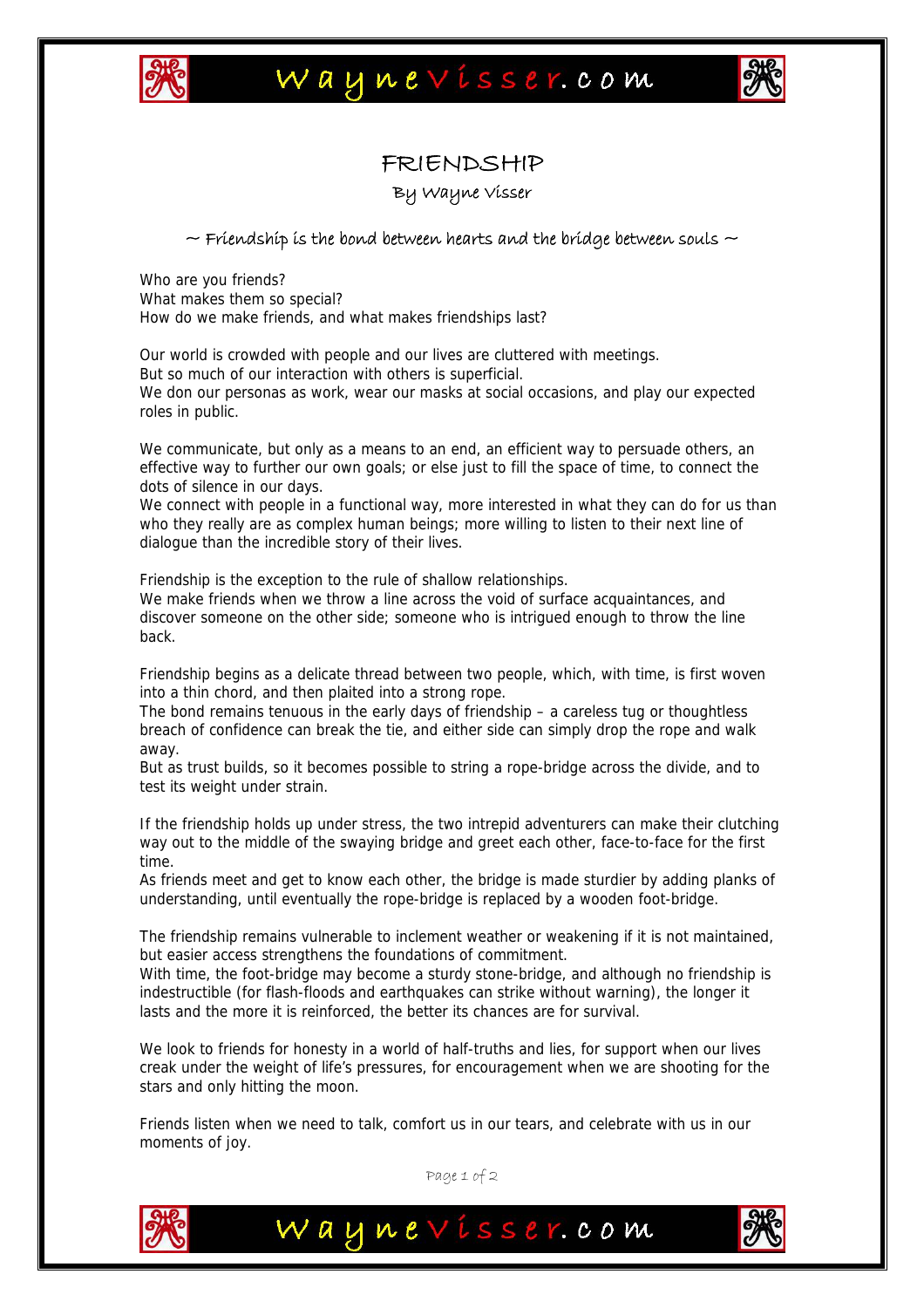



## FRIENDSHIP

By Wayne Visser

## $\sim$  Friendship is the bond between hearts and the bridge between souls  $\sim$

Who are you friends? What makes them so special? How do we make friends, and what makes friendships last?

Our world is crowded with people and our lives are cluttered with meetings. But so much of our interaction with others is superficial. We don our personas as work, wear our masks at social occasions, and play our expected roles in public.

We communicate, but only as a means to an end, an efficient way to persuade others, an effective way to further our own goals; or else just to fill the space of time, to connect the dots of silence in our days.

We connect with people in a functional way, more interested in what they can do for us than who they really are as complex human beings; more willing to listen to their next line of dialogue than the incredible story of their lives.

Friendship is the exception to the rule of shallow relationships.

We make friends when we throw a line across the void of surface acquaintances, and discover someone on the other side; someone who is intrigued enough to throw the line back.

Friendship begins as a delicate thread between two people, which, with time, is first woven into a thin chord, and then plaited into a strong rope.

The bond remains tenuous in the early days of friendship – a careless tug or thoughtless breach of confidence can break the tie, and either side can simply drop the rope and walk away.

But as trust builds, so it becomes possible to string a rope-bridge across the divide, and to test its weight under strain.

If the friendship holds up under stress, the two intrepid adventurers can make their clutching way out to the middle of the swaying bridge and greet each other, face-to-face for the first time.

As friends meet and get to know each other, the bridge is made sturdier by adding planks of understanding, until eventually the rope-bridge is replaced by a wooden foot-bridge.

The friendship remains vulnerable to inclement weather or weakening if it is not maintained, but easier access strengthens the foundations of commitment.

With time, the foot-bridge may become a sturdy stone-bridge, and although no friendship is indestructible (for flash-floods and earthquakes can strike without warning), the longer it lasts and the more it is reinforced, the better its chances are for survival.

We look to friends for honesty in a world of half-truths and lies, for support when our lives creak under the weight of life's pressures, for encouragement when we are shooting for the stars and only hitting the moon.

Friends listen when we need to talk, comfort us in our tears, and celebrate with us in our moments of joy.

Page 1 of 2

Waynevisser.com